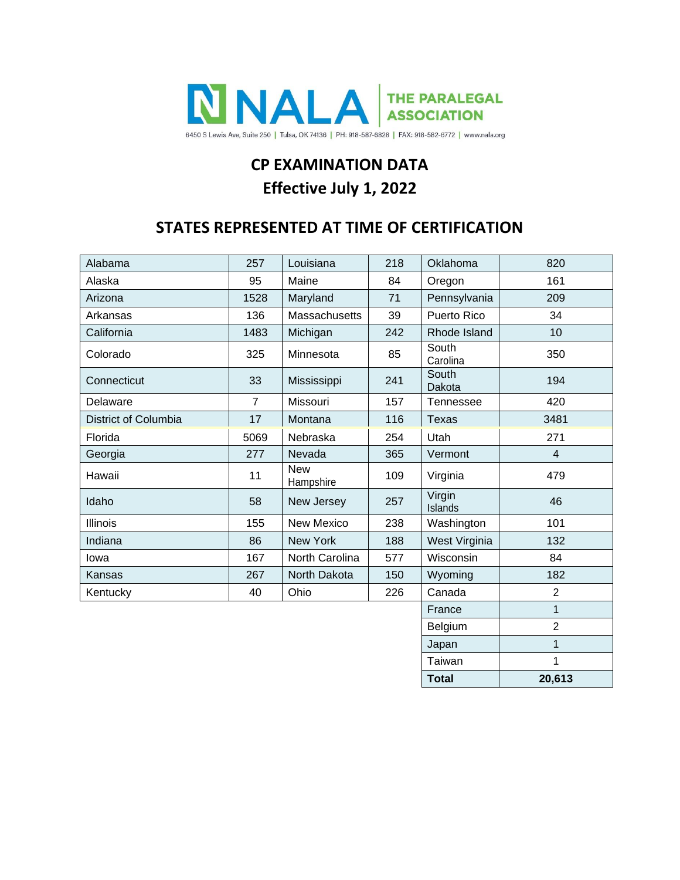

# **CP EXAMINATION DATA Effective July 1, 2022**

## **STATES REPRESENTED AT TIME OF CERTIFICATION**

| Alabama              | 257            | 218<br>Louisiana        |     | Oklahoma          | 820            |  |
|----------------------|----------------|-------------------------|-----|-------------------|----------------|--|
| Alaska               | 95             | Maine                   | 84  | Oregon            | 161            |  |
| Arizona              | 1528           | Maryland                | 71  | Pennsylvania      | 209            |  |
| Arkansas             | 136            | Massachusetts           | 39  | Puerto Rico       | 34             |  |
| California           | 1483           | Michigan                | 242 | Rhode Island      | 10             |  |
| Colorado             | 325            | Minnesota               | 85  | South<br>Carolina | 350            |  |
| Connecticut          | 33             | Mississippi<br>241      |     | South<br>Dakota   | 194            |  |
| Delaware             | $\overline{7}$ | Missouri                | 157 | Tennessee         | 420            |  |
| District of Columbia | 17             | Montana                 | 116 | <b>Texas</b>      | 3481           |  |
| Florida              | 5069           | Nebraska                | 254 | Utah              | 271            |  |
| Georgia              | 277            | Nevada                  | 365 | Vermont           | $\overline{4}$ |  |
| Hawaii               | 11             | <b>New</b><br>Hampshire | 109 | Virginia          | 479            |  |
| Idaho                | 58             | New Jersey              | 257 | Virgin<br>Islands | 46             |  |
| Illinois             | 155            | New Mexico              | 238 | Washington        | 101            |  |
| Indiana              | 86             | New York                | 188 | West Virginia     | 132            |  |
| lowa                 | 167            | North Carolina          | 577 | Wisconsin         | 84             |  |
| Kansas               | 267            | North Dakota            | 150 | Wyoming           | 182            |  |
| Kentucky             | 40             | Ohio                    | 226 | Canada            | $\overline{2}$ |  |
|                      |                |                         |     | France            | $\mathbf{1}$   |  |
|                      |                |                         |     | Belgium           | $\overline{2}$ |  |
|                      | Japan          | $\mathbf{1}$            |     |                   |                |  |
|                      | Taiwan         | 1                       |     |                   |                |  |
|                      |                |                         |     | <b>Total</b>      | 20,613         |  |